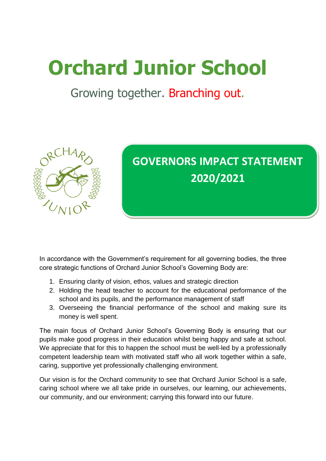# **Orchard Junior School**

### Growing together. Branching out.



## **GOVERNORS IMPACT STATEMENT 2020/2021**

In accordance with the Government's requirement for all governing bodies, the three core strategic functions of Orchard Junior School's Governing Body are:

- 1. Ensuring clarity of vision, ethos, values and strategic direction
- 2. Holding the head teacher to account for the educational performance of the school and its pupils, and the performance management of staff
- 3. Overseeing the financial performance of the school and making sure its money is well spent.

The main focus of Orchard Junior School's Governing Body is ensuring that our pupils make good progress in their education whilst being happy and safe at school. We appreciate that for this to happen the school must be well-led by a professionally competent leadership team with motivated staff who all work together within a safe, caring, supportive yet professionally challenging environment.

Our vision is for the Orchard community to see that Orchard Junior School is a safe, caring school where we all take pride in ourselves, our learning, our achievements, our community, and our environment; carrying this forward into our future.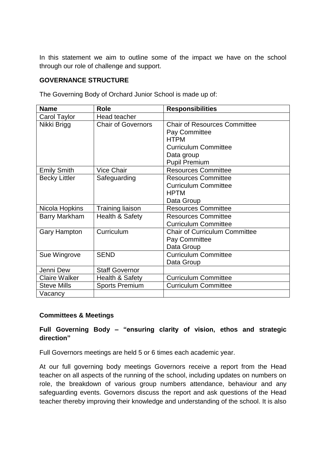In this statement we aim to outline some of the impact we have on the school through our role of challenge and support.

#### **GOVERNANCE STRUCTURE**

| <b>Name</b>          | <b>Role</b>                | <b>Responsibilities</b>              |
|----------------------|----------------------------|--------------------------------------|
| Carol Taylor         | <b>Head teacher</b>        |                                      |
| Nikki Brigg          | <b>Chair of Governors</b>  | <b>Chair of Resources Committee</b>  |
|                      |                            | Pay Committee                        |
|                      |                            | <b>HTPM</b>                          |
|                      |                            | <b>Curriculum Committee</b>          |
|                      |                            | Data group                           |
|                      |                            | <b>Pupil Premium</b>                 |
| <b>Emily Smith</b>   | <b>Vice Chair</b>          | <b>Resources Committee</b>           |
| <b>Becky Littler</b> | Safeguarding               | <b>Resources Committee</b>           |
|                      |                            | <b>Curriculum Committee</b>          |
|                      |                            | <b>HPTM</b>                          |
|                      |                            | Data Group                           |
| Nicola Hopkins       | <b>Training liaison</b>    | <b>Resources Committee</b>           |
| <b>Barry Markham</b> | <b>Health &amp; Safety</b> | <b>Resources Committee</b>           |
|                      |                            | <b>Curriculum Committee</b>          |
| <b>Gary Hampton</b>  | Curriculum                 | <b>Chair of Curriculum Committee</b> |
|                      |                            | Pay Committee                        |
|                      |                            | Data Group                           |
| Sue Wingrove         | <b>SEND</b>                | <b>Curriculum Committee</b>          |
|                      |                            | Data Group                           |
| Jenni Dew            | <b>Staff Governor</b>      |                                      |
| <b>Claire Walker</b> | <b>Health &amp; Safety</b> | <b>Curriculum Committee</b>          |
| <b>Steve Mills</b>   | <b>Sports Premium</b>      | <b>Curriculum Committee</b>          |
| Vacancy              |                            |                                      |

The Governing Body of Orchard Junior School is made up of:

#### **Committees & Meetings**

#### **Full Governing Body – "ensuring clarity of vision, ethos and strategic direction"**

Full Governors meetings are held 5 or 6 times each academic year.

At our full governing body meetings Governors receive a report from the Head teacher on all aspects of the running of the school, including updates on numbers on role, the breakdown of various group numbers attendance, behaviour and any safeguarding events. Governors discuss the report and ask questions of the Head teacher thereby improving their knowledge and understanding of the school. It is also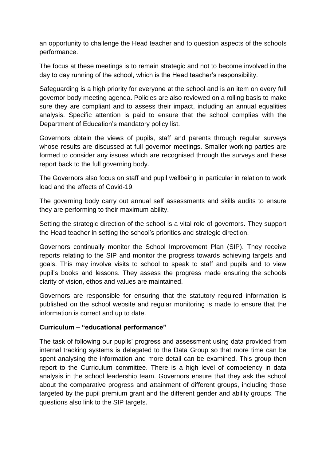an opportunity to challenge the Head teacher and to question aspects of the schools performance.

The focus at these meetings is to remain strategic and not to become involved in the day to day running of the school, which is the Head teacher's responsibility.

Safeguarding is a high priority for everyone at the school and is an item on every full governor body meeting agenda. Policies are also reviewed on a rolling basis to make sure they are compliant and to assess their impact, including an annual equalities analysis. Specific attention is paid to ensure that the school complies with the Department of Education's mandatory policy list.

Governors obtain the views of pupils, staff and parents through regular surveys whose results are discussed at full governor meetings. Smaller working parties are formed to consider any issues which are recognised through the surveys and these report back to the full governing body.

The Governors also focus on staff and pupil wellbeing in particular in relation to work load and the effects of Covid-19.

The governing body carry out annual self assessments and skills audits to ensure they are performing to their maximum ability.

Setting the strategic direction of the school is a vital role of governors. They support the Head teacher in setting the school's priorities and strategic direction.

Governors continually monitor the School Improvement Plan (SIP). They receive reports relating to the SIP and monitor the progress towards achieving targets and goals. This may involve visits to school to speak to staff and pupils and to view pupil's books and lessons. They assess the progress made ensuring the schools clarity of vision, ethos and values are maintained.

Governors are responsible for ensuring that the statutory required information is published on the school website and regular monitoring is made to ensure that the information is correct and up to date.

#### **Curriculum – "educational performance"**

The task of following our pupils' progress and assessment using data provided from internal tracking systems is delegated to the Data Group so that more time can be spent analysing the information and more detail can be examined. This group then report to the Curriculum committee. There is a high level of competency in data analysis in the school leadership team. Governors ensure that they ask the school about the comparative progress and attainment of different groups, including those targeted by the pupil premium grant and the different gender and ability groups. The questions also link to the SIP targets.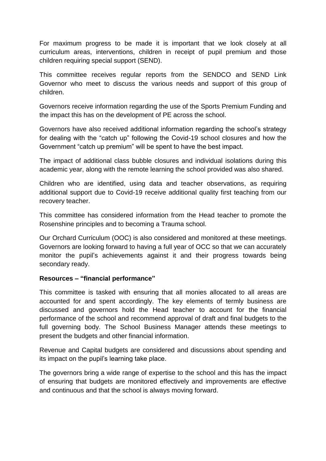For maximum progress to be made it is important that we look closely at all curriculum areas, interventions, children in receipt of pupil premium and those children requiring special support (SEND).

This committee receives regular reports from the SENDCO and SEND Link Governor who meet to discuss the various needs and support of this group of children.

Governors receive information regarding the use of the Sports Premium Funding and the impact this has on the development of PE across the school.

Governors have also received additional information regarding the school's strategy for dealing with the "catch up" following the Covid-19 school closures and how the Government "catch up premium" will be spent to have the best impact.

The impact of additional class bubble closures and individual isolations during this academic year, along with the remote learning the school provided was also shared.

Children who are identified, using data and teacher observations, as requiring additional support due to Covid-19 receive additional quality first teaching from our recovery teacher.

This committee has considered information from the Head teacher to promote the Rosenshine principles and to becoming a Trauma school.

Our Orchard Curriculum (OOC) is also considered and monitored at these meetings. Governors are looking forward to having a full year of OCC so that we can accurately monitor the pupil's achievements against it and their progress towards being secondary ready.

#### **Resources – "financial performance"**

This committee is tasked with ensuring that all monies allocated to all areas are accounted for and spent accordingly. The key elements of termly business are discussed and governors hold the Head teacher to account for the financial performance of the school and recommend approval of draft and final budgets to the full governing body. The School Business Manager attends these meetings to present the budgets and other financial information.

Revenue and Capital budgets are considered and discussions about spending and its impact on the pupil's learning take place.

The governors bring a wide range of expertise to the school and this has the impact of ensuring that budgets are monitored effectively and improvements are effective and continuous and that the school is always moving forward.